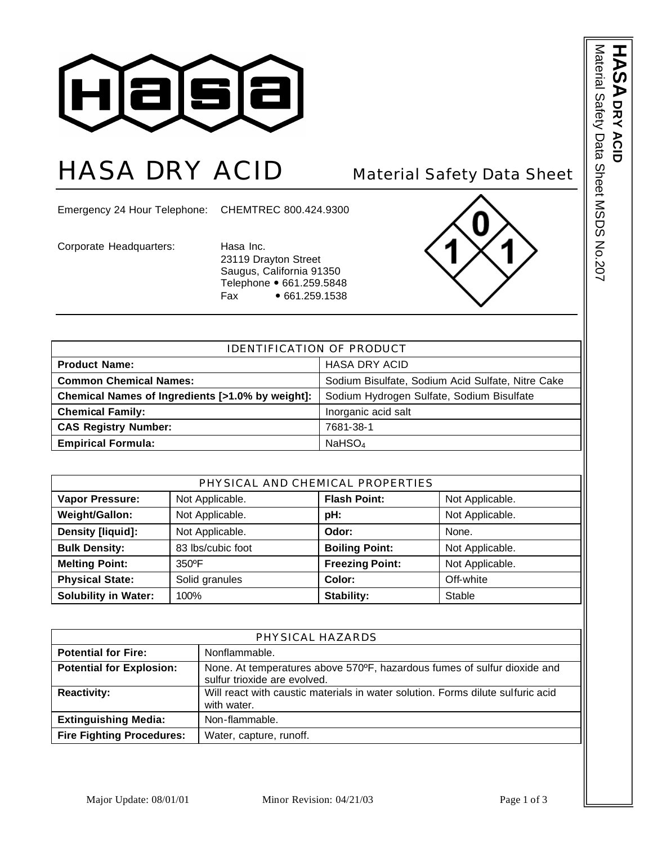

## HASA DRY ACID Material Safety Data Sheet

Emergency 24 Hour Telephone: CHEMTREC 800.424.9300

Corporate Headquarters: Hasa Inc.

23119 Drayton Street Saugus, California 91350 Telephone • 661.259.5848 Fax • 661.259.1538



| <b>IDENTIFICATION OF PRODUCT</b>                                                              |                                                   |  |
|-----------------------------------------------------------------------------------------------|---------------------------------------------------|--|
| <b>Product Name:</b>                                                                          | <b>HASA DRY ACID</b>                              |  |
| <b>Common Chemical Names:</b>                                                                 | Sodium Bisulfate, Sodium Acid Sulfate, Nitre Cake |  |
| Chemical Names of Ingredients [>1.0% by weight]:<br>Sodium Hydrogen Sulfate, Sodium Bisulfate |                                                   |  |
| <b>Chemical Family:</b>                                                                       | Inorganic acid salt                               |  |
| <b>CAS Registry Number:</b>                                                                   | 7681-38-1                                         |  |
| <b>Empirical Formula:</b>                                                                     | NaHSO <sub>4</sub>                                |  |

| PHYSICAL AND CHEMICAL PROPERTIES |                   |                        |                 |
|----------------------------------|-------------------|------------------------|-----------------|
| <b>Vapor Pressure:</b>           | Not Applicable.   | <b>Flash Point:</b>    | Not Applicable. |
| Weight/Gallon:                   | Not Applicable.   | pH:                    | Not Applicable. |
| Density [liquid]:                | Not Applicable.   | Odor:                  | None.           |
| <b>Bulk Density:</b>             | 83 lbs/cubic foot | <b>Boiling Point:</b>  | Not Applicable. |
| <b>Melting Point:</b>            | 350°F             | <b>Freezing Point:</b> | Not Applicable. |
| <b>Physical State:</b>           | Solid granules    | Color:                 | Off-white       |
| <b>Solubility in Water:</b>      | 100%              | Stability:             | Stable          |

| PHYSICAL HAZARDS                 |                                                                                                          |  |
|----------------------------------|----------------------------------------------------------------------------------------------------------|--|
| <b>Potential for Fire:</b>       | Nonflammable.                                                                                            |  |
| <b>Potential for Explosion:</b>  | None. At temperatures above 570°F, hazardous fumes of sulfur dioxide and<br>sulfur trioxide are evolved. |  |
| <b>Reactivity:</b>               | Will react with caustic materials in water solution. Forms dilute sulfuric acid<br>with water.           |  |
| <b>Extinguishing Media:</b>      | Non-flammable.                                                                                           |  |
| <b>Fire Fighting Procedures:</b> | Water, capture, runoff.                                                                                  |  |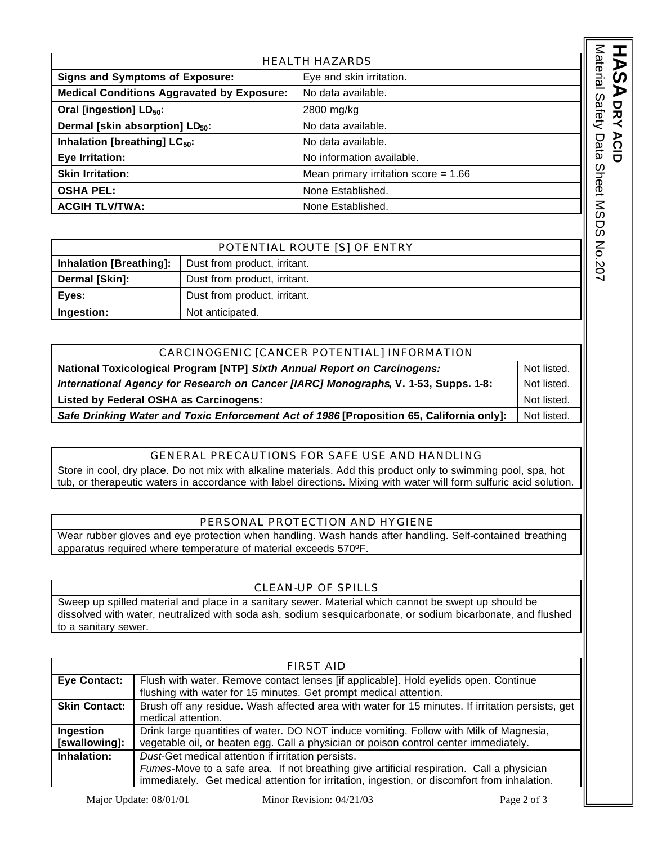| <b>HEALTH HAZARDS</b>                             |                                        |
|---------------------------------------------------|----------------------------------------|
| <b>Signs and Symptoms of Exposure:</b>            | Eye and skin irritation.               |
| <b>Medical Conditions Aggravated by Exposure:</b> | No data available.                     |
| Oral [ingestion] LD <sub>50</sub> :               | 2800 mg/kg                             |
| Dermal [skin absorption] LD <sub>50</sub> :       | No data available.                     |
| Inhalation [breathing] LC <sub>50</sub> :         | No data available.                     |
| Eye Irritation:                                   | No information available.              |
| <b>Skin Irritation:</b>                           | Mean primary irritation score = $1.66$ |
| <b>OSHA PEL:</b>                                  | None Established.                      |
| <b>ACGIH TLV/TWA:</b>                             | None Established.                      |

POTENTIAL ROUTE [S] OF ENTRY **Inhalation [Breathing]:** Dust from product, irritant. **Dermal [Skin]:** | Dust from product, irritant. **Eyes: Dust from product, irritant. Ingestion:** Not anticipated.

| CARCINOGENIC [CANCER POTENTIAL] INFORMATION                                              |             |
|------------------------------------------------------------------------------------------|-------------|
| National Toxicological Program [NTP] Sixth Annual Report on Carcinogens:                 | Not listed. |
| International Agency for Research on Cancer [IARC] Monographs, V. 1-53, Supps. 1-8:      | Not listed. |
| Listed by Federal OSHA as Carcinogens:                                                   | Not listed. |
| Safe Drinking Water and Toxic Enforcement Act of 1986 [Proposition 65, California only]: | Not listed. |

## GENERAL PRECAUTIONS FOR SAFE USE AND HANDLING

Store in cool, dry place. Do not mix with alkaline materials. Add this product only to swimming pool, spa, hot tub, or therapeutic waters in accordance with label directions. Mixing with water will form sulfuric acid solution.

## PERSONAL PROTECTION AND HYGIENE

Wear rubber gloves and eye protection when handling. Wash hands after handling. Self-contained breathing apparatus required where temperature of material exceeds 570ºF.

## CLEAN-UP OF SPILLS

Sweep up spilled material and place in a sanitary sewer. Material which cannot be swept up should be dissolved with water, neutralized with soda ash, sodium sesquicarbonate, or sodium bicarbonate, and flushed to a sanitary sewer.

| FIRST AID                  |                                                                                                                                                                                                                                                 |
|----------------------------|-------------------------------------------------------------------------------------------------------------------------------------------------------------------------------------------------------------------------------------------------|
| <b>Eye Contact:</b>        | Flush with water. Remove contact lenses [if applicable]. Hold eyelids open. Continue<br>flushing with water for 15 minutes. Get prompt medical attention.                                                                                       |
| <b>Skin Contact:</b>       | Brush off any residue. Wash affected area with water for 15 minutes. If irritation persists, get<br>medical attention.                                                                                                                          |
| Ingestion<br>[swallowing]: | Drink large quantities of water. DO NOT induce vomiting. Follow with Milk of Magnesia,<br>vegetable oil, or beaten egg. Call a physician or poison control center immediately.                                                                  |
| Inhalation:                | Dust-Get medical attention if irritation persists.<br>Fumes-Move to a safe area. If not breathing give artificial respiration. Call a physician<br>immediately. Get medical attention for irritation, ingestion, or discomfort from inhalation. |

**A** DRY ACID **DRY ACID**

Material Safety Data Sheet MSDS No.207

Material Safety Data Sheet MSDS No.207